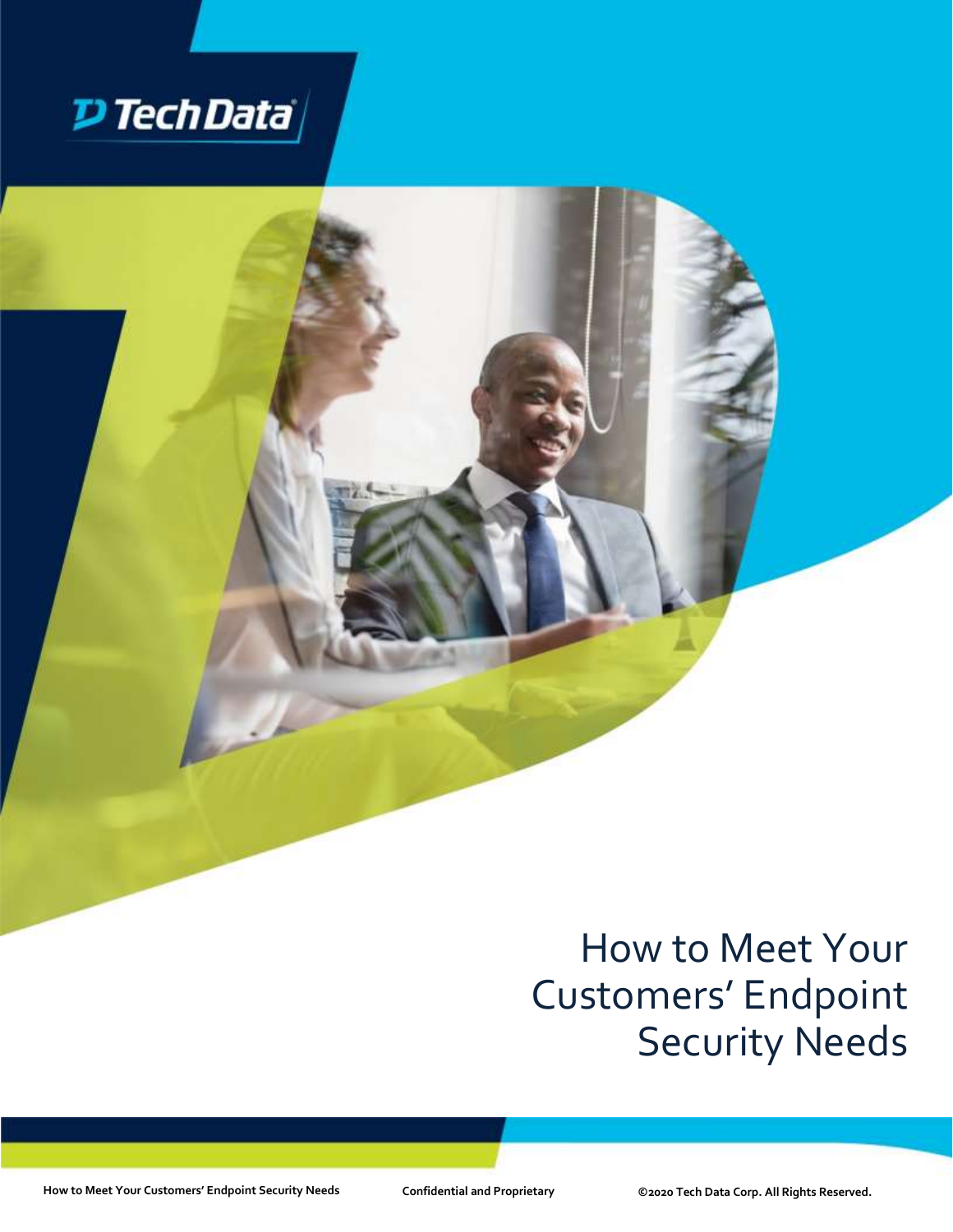

# How to Meet Your Customers' Endpoint Security Needs

**How to Meet Your Customers' Endpoint Security Needs Confidential and Proprietary ©2020 Tech Data Corp. All Rights Reserved.**

: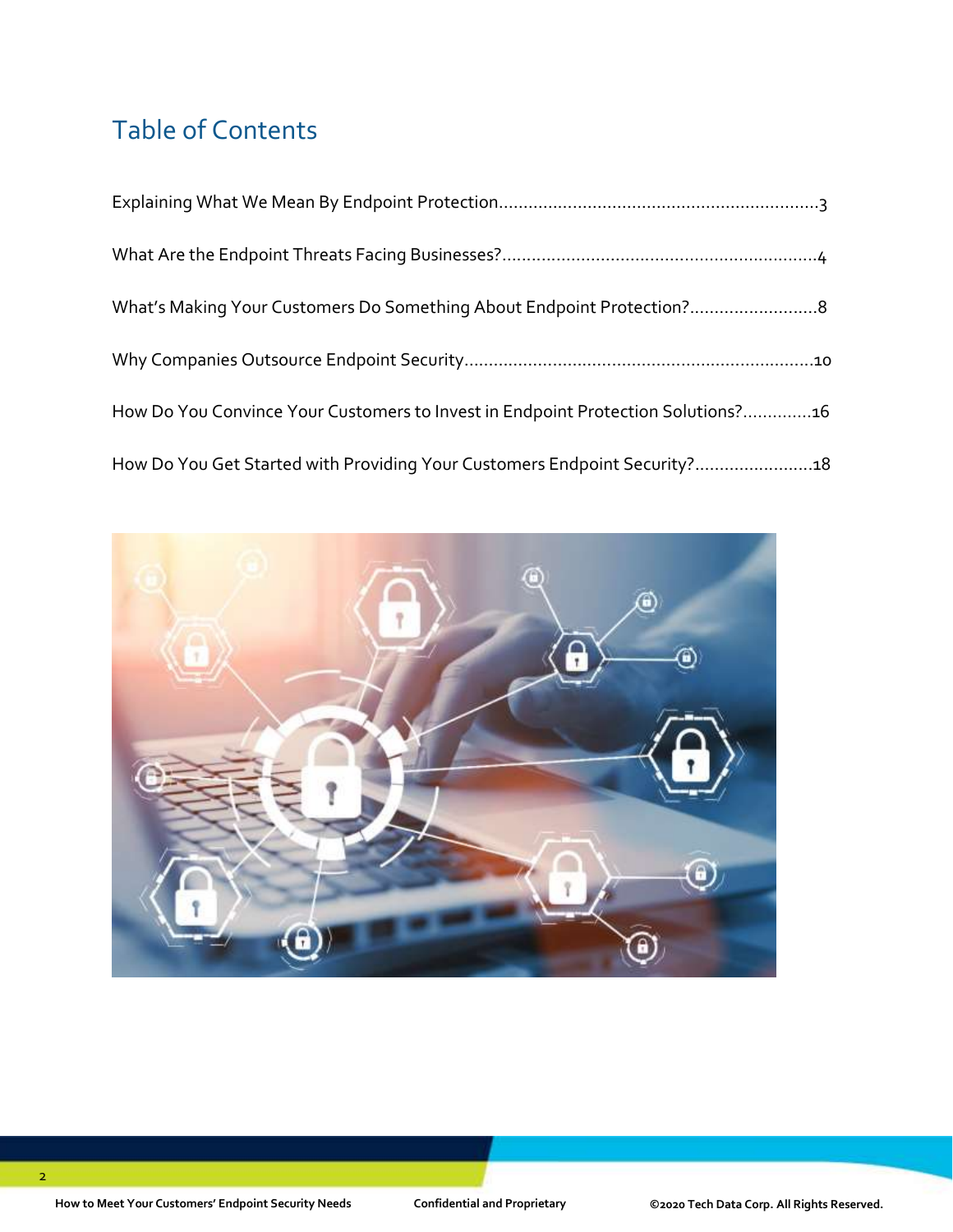## Table of Contents

| What's Making Your Customers Do Something About Endpoint Protection?8            |
|----------------------------------------------------------------------------------|
|                                                                                  |
| How Do You Convince Your Customers to Invest in Endpoint Protection Solutions?16 |
| How Do You Get Started with Providing Your Customers Endpoint Security?18        |

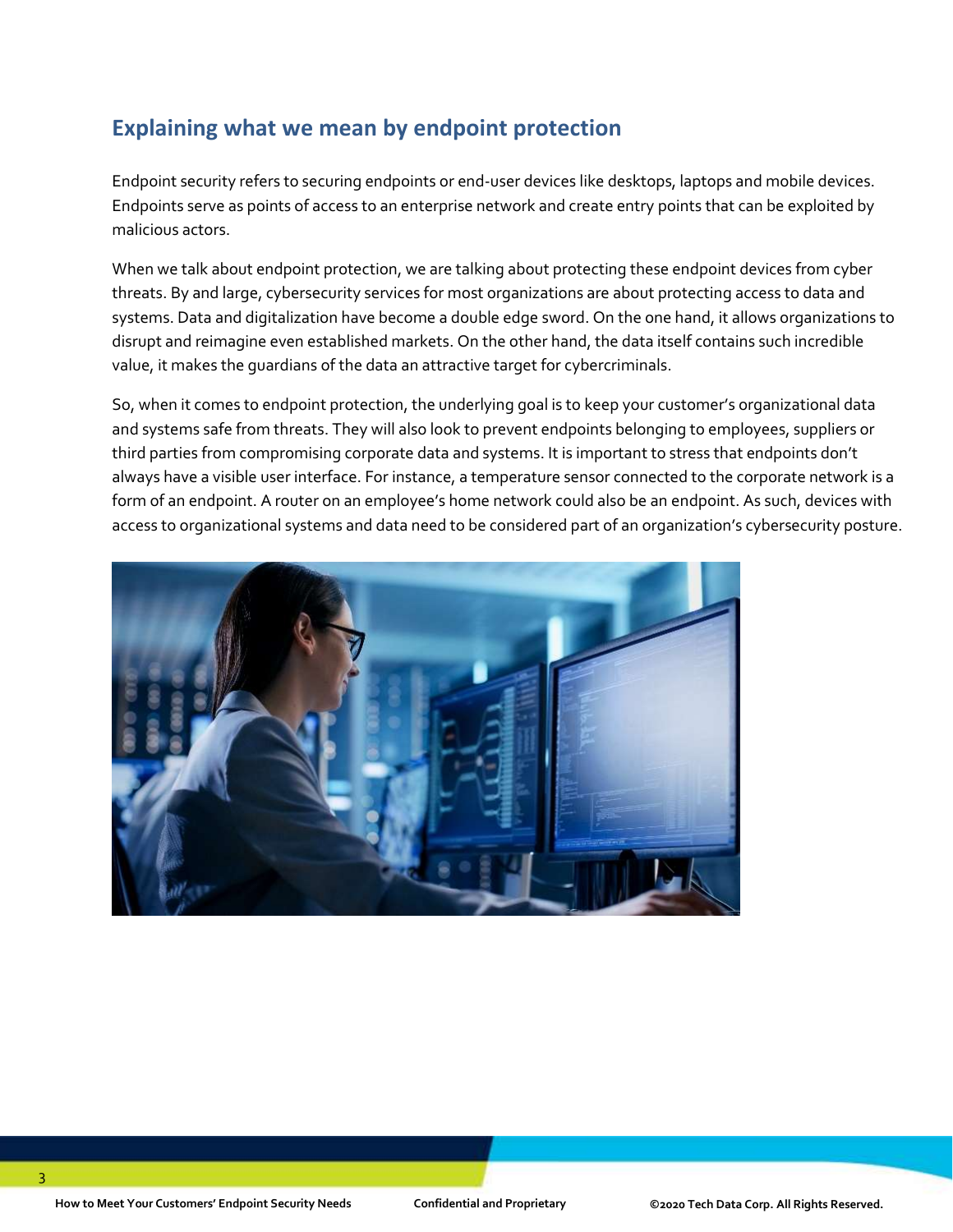### **Explaining what we mean by endpoint protection**

Endpoint security refers to securing endpoints or end-user devices like desktops, laptops and mobile devices. Endpoints serve as points of access to an enterprise network and create entry points that can be exploited by malicious actors.

When we talk about endpoint protection, we are talking about protecting these endpoint devices from cyber threats. By and large, cybersecurity services for most organizations are about protecting access to data and systems. Data and digitalization have become a double edge sword. On the one hand, it allows organizations to disrupt and reimagine even established markets. On the other hand, the data itself contains such incredible value, it makes the guardians of the data an attractive target for cybercriminals.

So, when it comes to endpoint protection, the underlying goal is to keep your customer's organizational data and systems safe from threats. They will also look to prevent endpoints belonging to employees, suppliers or third parties from compromising corporate data and systems. It is important to stress that endpoints don't always have a visible user interface. For instance, a temperature sensor connected to the corporate network is a form of an endpoint. A router on an employee's home network could also be an endpoint. As such, devices with access to organizational systems and data need to be considered part of an organization's cybersecurity posture.

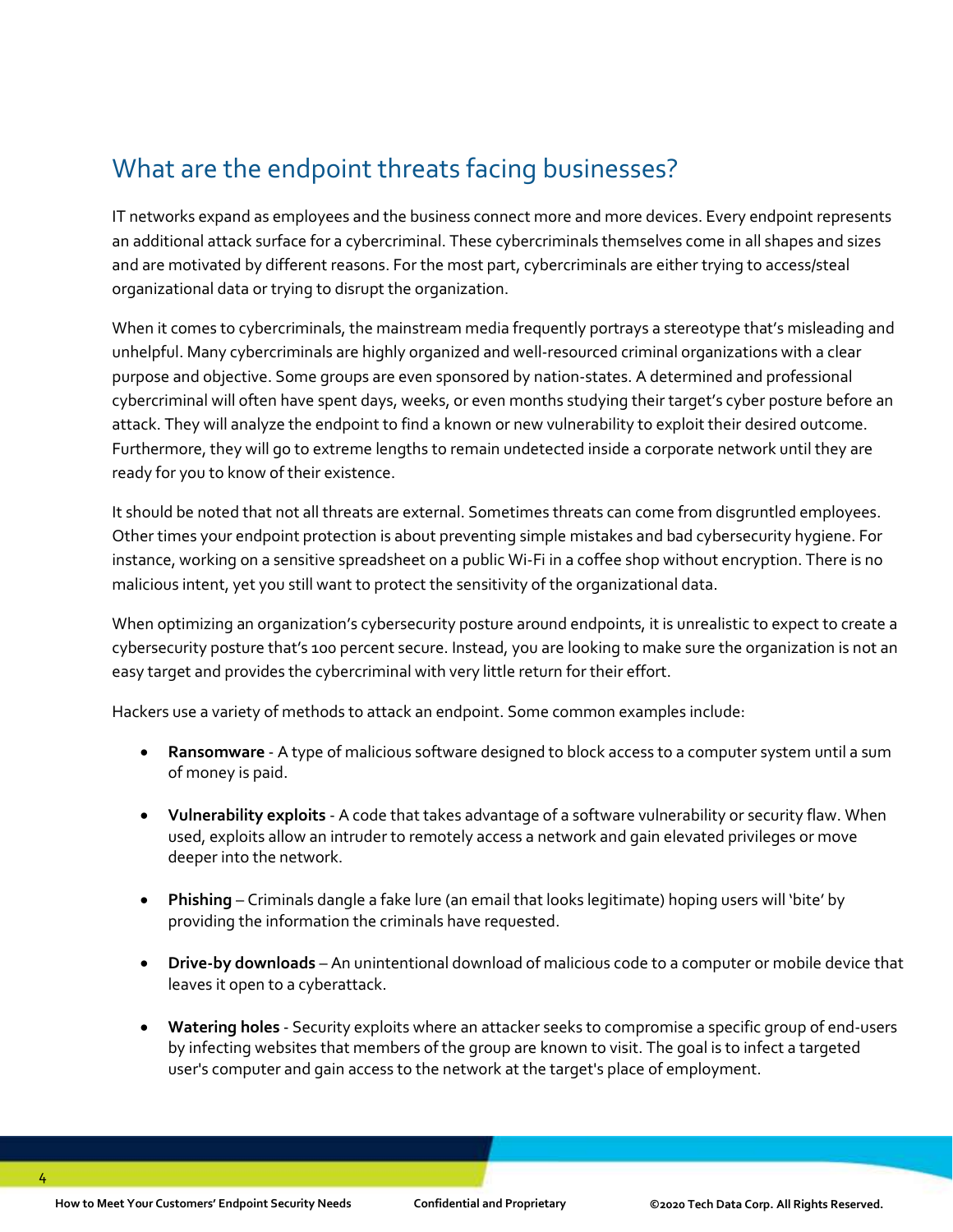### What are the endpoint threats facing businesses?

IT networks expand as employees and the business connect more and more devices. Every endpoint represents an additional attack surface for a cybercriminal. These cybercriminals themselves come in all shapes and sizes and are motivated by different reasons. For the most part, cybercriminals are either trying to access/steal organizational data or trying to disrupt the organization.

When it comes to cybercriminals, the mainstream media frequently portrays a stereotype that's misleading and unhelpful. Many cybercriminals are highly organized and well-resourced criminal organizations with a clear purpose and objective. Some groups are even sponsored by nation-states. A determined and professional cybercriminal will often have spent days, weeks, or even months studying their target's cyber posture before an attack. They will analyze the endpoint to find a known or new vulnerability to exploit their desired outcome. Furthermore, they will go to extreme lengths to remain undetected inside a corporate network until they are ready for you to know of their existence.

It should be noted that not all threats are external. Sometimes threats can come from disgruntled employees. Other times your endpoint protection is about preventing simple mistakes and bad cybersecurity hygiene. For instance, working on a sensitive spreadsheet on a public Wi-Fi in a coffee shop without encryption. There is no malicious intent, yet you still want to protect the sensitivity of the organizational data.

When optimizing an organization's cybersecurity posture around endpoints, it is unrealistic to expect to create a cybersecurity posture that's 100 percent secure. Instead, you are looking to make sure the organization is not an easy target and provides the cybercriminal with very little return for their effort.

Hackers use a variety of methods to attack an endpoint. Some common examples include:

- **Ransomware** A type of malicious software designed to block access to a computer system until a sum of money is paid.
- **Vulnerability exploits** A code that takes advantage of a software vulnerability or security flaw. When used, exploits allow an intruder to remotely access a network and gain elevated privileges or move deeper into the network.
- **Phishing** Criminals dangle a fake lure (an email that looks legitimate) hoping users will 'bite' by providing the information the criminals have requested.
- **Drive-by downloads** An unintentional download of malicious code to a computer or mobile device that leaves it open to a cyberattack.
- **Watering holes** Security exploits where an attacker seeks to compromise a specific group of end-users by infecting websites that members of the group are known to visit. The goal is to infect a targeted user's computer and gain access to the network at the target's place of employment.

4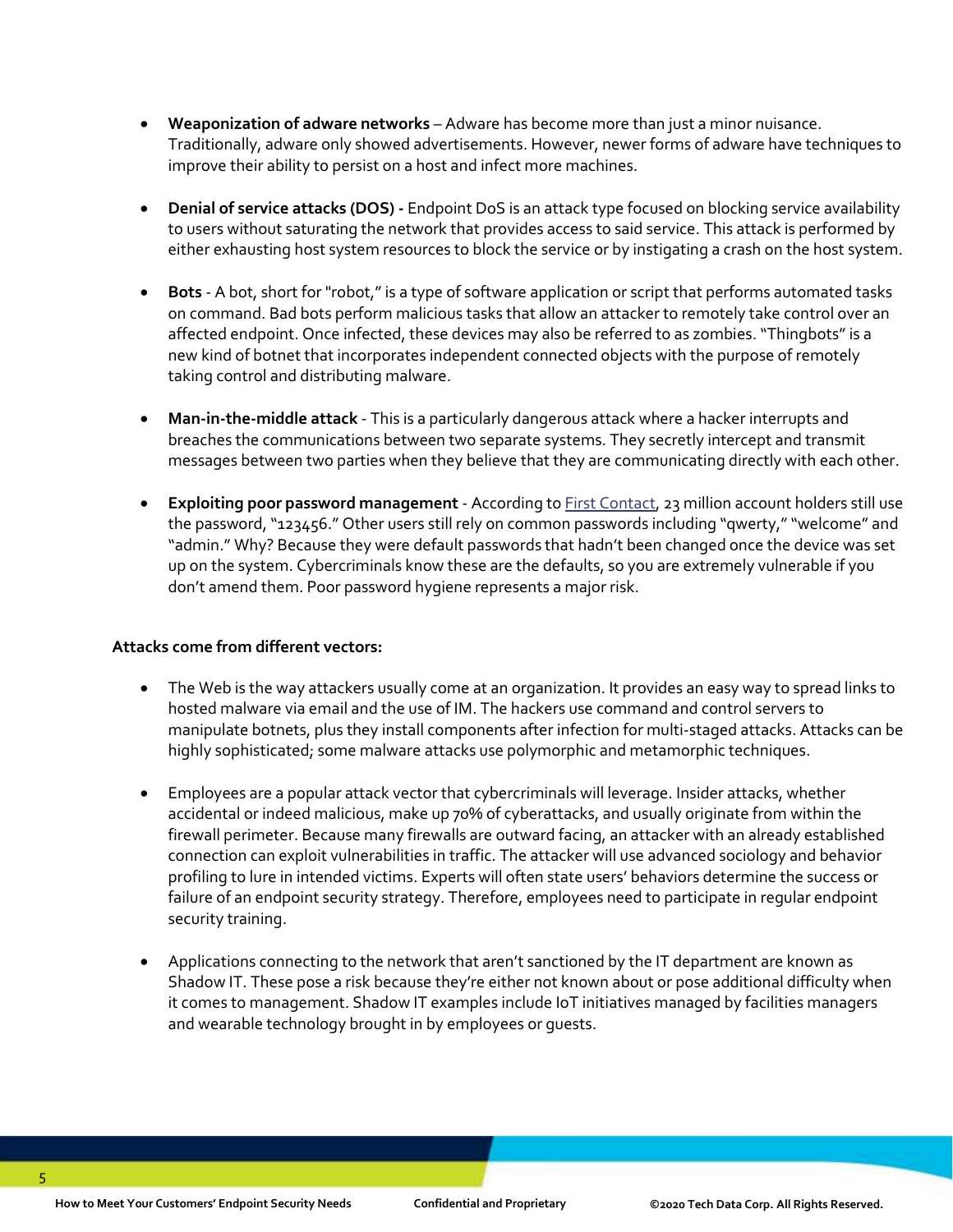- **Weaponization of adware networks** Adware has become more than just a minor nuisance. Traditionally, adware only showed advertisements. However, newer forms of adware have techniques to improve their ability to persist on a host and infect more machines.
- **Denial of service attacks (DOS) -** Endpoint DoS is an attack type focused on blocking service availability to users without saturating the network that provides access to said service. This attack is performed by either exhausting host system resources to block the service or by instigating a crash on the host system.
- **Bots**  A bot, short for "robot,"is a type of software application or script that performs automated tasks on command. Bad bots perform malicious tasks that allow an attacker to remotely take control over an affected endpoint. Once infected, these devices may also be referred to as zombies. "Thingbots" is a new kind of botnet that incorporates independent connected objects with the purpose of remotely taking control and distributing malware.
- **Man-in-the-middle attack** This is a particularly dangerous attack where a hacker interrupts and breaches the communications between two separate systems. They secretly intercept and transmit messages between two parties when they believe that they are communicating directly with each other.
- **Exploiting poor password management** According to [First Contact,](https://dataprot.net/statistics/password-statistics/) 23 million account holders still use the password, "123456." Other users still rely on common passwords including "qwerty," "welcome" and "admin." Why? Because they were default passwords that hadn't been changed once the device was set up on the system. Cybercriminals know these are the defaults, so you are extremely vulnerable if you don't amend them. Poor password hygiene represents a major risk.

#### **Attacks come from different vectors:**

- The Web is the way attackers usually come at an organization. It provides an easy way to spread links to hosted malware via email and the use of IM. The hackers use command and control servers to manipulate botnets, plus they install components after infection for multi-staged attacks. Attacks can be highly sophisticated; some malware attacks use polymorphic and metamorphic techniques.
- Employees are a popular attack vector that cybercriminals will leverage. Insider attacks, whether accidental or indeed malicious, make up 70% of cyberattacks, and usually originate from within the firewall perimeter. Because many firewalls are outward facing, an attacker with an already established connection can exploit vulnerabilities in traffic. The attacker will use advanced sociology and behavior profiling to lure in intended victims. Experts will often state users' behaviors determine the success or failure of an endpoint security strategy. Therefore, employees need to participate in regular endpoint security training.
- Applications connecting to the network that aren't sanctioned by the IT department are known as Shadow IT. These pose a risk because they're either not known about or pose additional difficulty when it comes to management. Shadow IT examples include IoT initiatives managed by facilities managers and wearable technology brought in by employees or guests.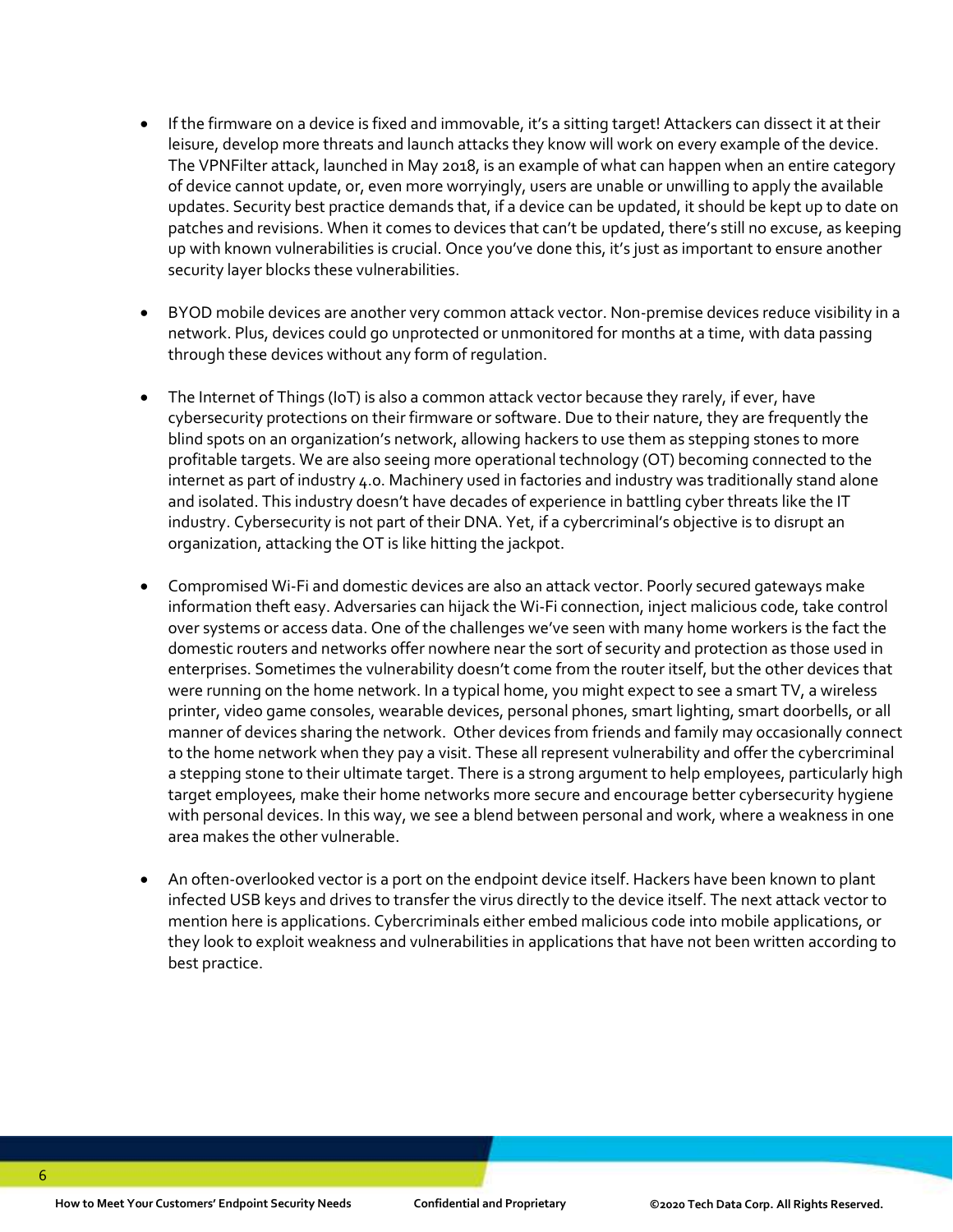- If the firmware on a device is fixed and immovable, it's a sitting target! Attackers can dissect it at their leisure, develop more threats and launch attacks they know will work on every example of the device. The VPNFilter attack, launched in May 2018, is an example of what can happen when an entire category of device cannot update, or, even more worryingly, users are unable or unwilling to apply the available updates. Security best practice demands that, if a device can be updated, it should be kept up to date on patches and revisions. When it comes to devices that can't be updated, there's still no excuse, as keeping up with known vulnerabilities is crucial. Once you've done this, it's just as important to ensure another security layer blocks these vulnerabilities.
- BYOD mobile devices are another very common attack vector. Non-premise devices reduce visibility in a network. Plus, devices could go unprotected or unmonitored for months at a time, with data passing through these devices without any form of regulation.
- The Internet of Things (IoT) is also a common attack vector because they rarely, if ever, have cybersecurity protections on their firmware or software. Due to their nature, they are frequently the blind spots on an organization's network, allowing hackers to use them as stepping stones to more profitable targets. We are also seeing more operational technology (OT) becoming connected to the internet as part of industry 4.0. Machinery used in factories and industry was traditionally stand alone and isolated. This industry doesn't have decades of experience in battling cyber threats like the IT industry. Cybersecurity is not part of their DNA. Yet, if a cybercriminal's objective is to disrupt an organization, attacking the OT is like hitting the jackpot.
- Compromised Wi-Fi and domestic devices are also an attack vector. Poorly secured gateways make information theft easy. Adversaries can hijack the Wi-Fi connection, inject malicious code, take control over systems or access data. One of the challenges we've seen with many home workers is the fact the domestic routers and networks offer nowhere near the sort of security and protection as those used in enterprises. Sometimes the vulnerability doesn't come from the router itself, but the other devices that were running on the home network. In a typical home, you might expect to see a smart TV, a wireless printer, video game consoles, wearable devices, personal phones, smart lighting, smart doorbells, or all manner of devices sharing the network. Other devices from friends and family may occasionally connect to the home network when they pay a visit. These all represent vulnerability and offer the cybercriminal a stepping stone to their ultimate target. There is a strong argument to help employees, particularly high target employees, make their home networks more secure and encourage better cybersecurity hygiene with personal devices. In this way, we see a blend between personal and work, where a weakness in one area makes the other vulnerable.
- An often-overlooked vector is a port on the endpoint device itself. Hackers have been known to plant infected USB keys and drives to transfer the virus directly to the device itself. The next attack vector to mention here is applications. Cybercriminals either embed malicious code into mobile applications, or they look to exploit weakness and vulnerabilities in applications that have not been written according to best practice.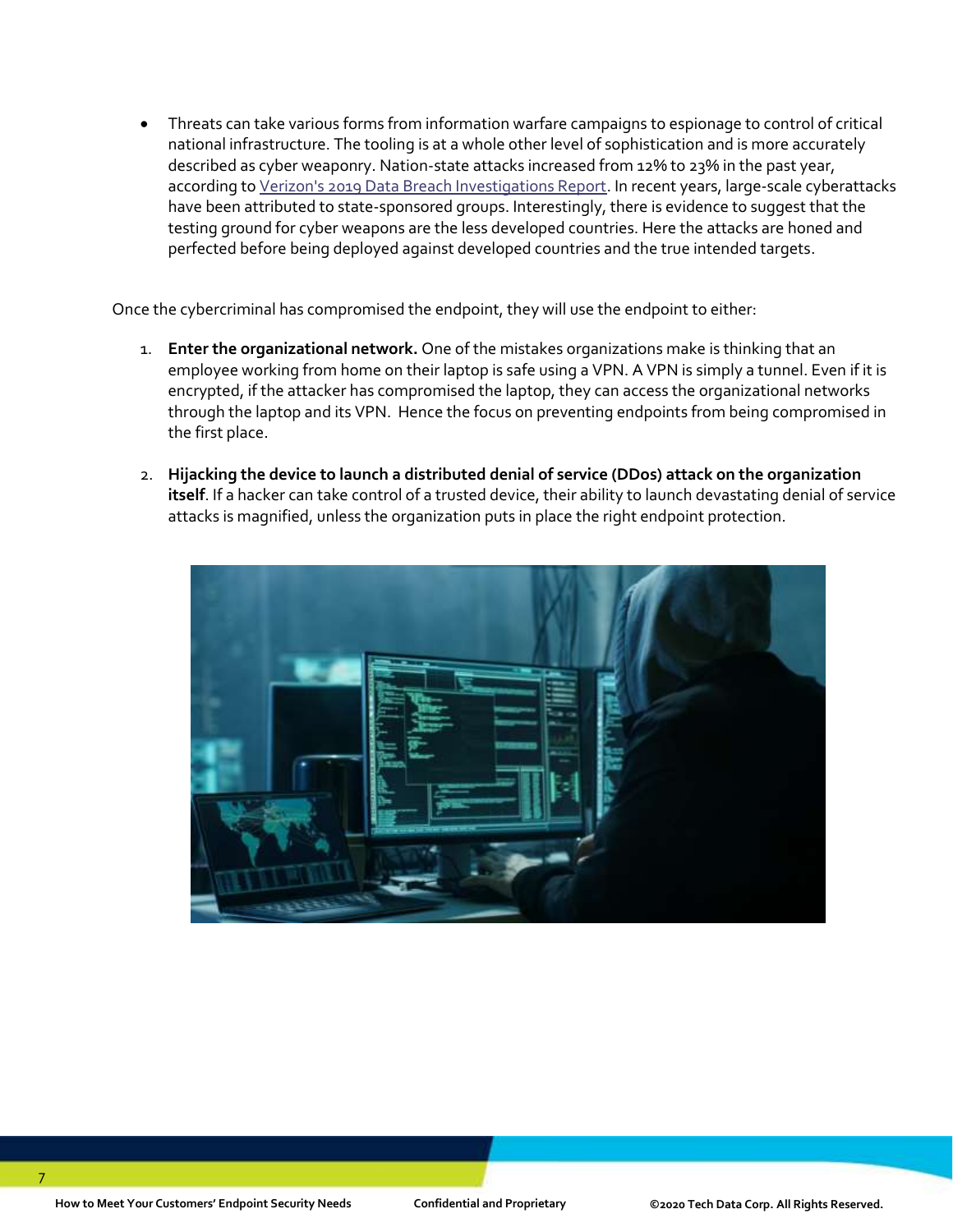• Threats can take various forms from information warfare campaigns to espionage to control of critical national infrastructure. The tooling is at a whole other level of sophistication and is more accurately described as cyber weaponry. Nation-state attacks increased from 12% to 23% in the past year, according t[o Verizon's 2019 Data Breach Investigations Report.](https://www.nist.gov/system/files/documents/2019/10/16/1-2-dbir-widup.pdf) In recent years, large-scale cyberattacks have been attributed to state-sponsored groups. Interestingly, there is evidence to suggest that the testing ground for cyber weapons are the less developed countries. Here the attacks are honed and perfected before being deployed against developed countries and the true intended targets.

Once the cybercriminal has compromised the endpoint, they will use the endpoint to either:

- 1. **Enter the organizational network.** One of the mistakes organizations make is thinking that an employee working from home on their laptop is safe using a VPN. A VPN is simply a tunnel. Even if it is encrypted, if the attacker has compromised the laptop, they can access the organizational networks through the laptop and its VPN. Hence the focus on preventing endpoints from being compromised in the first place.
- 2. **Hijacking the device to launch a distributed denial of service (DDos) attack on the organization itself**. If a hacker can take control of a trusted device, their ability to launch devastating denial of service attacks is magnified, unless the organization puts in place the right endpoint protection.

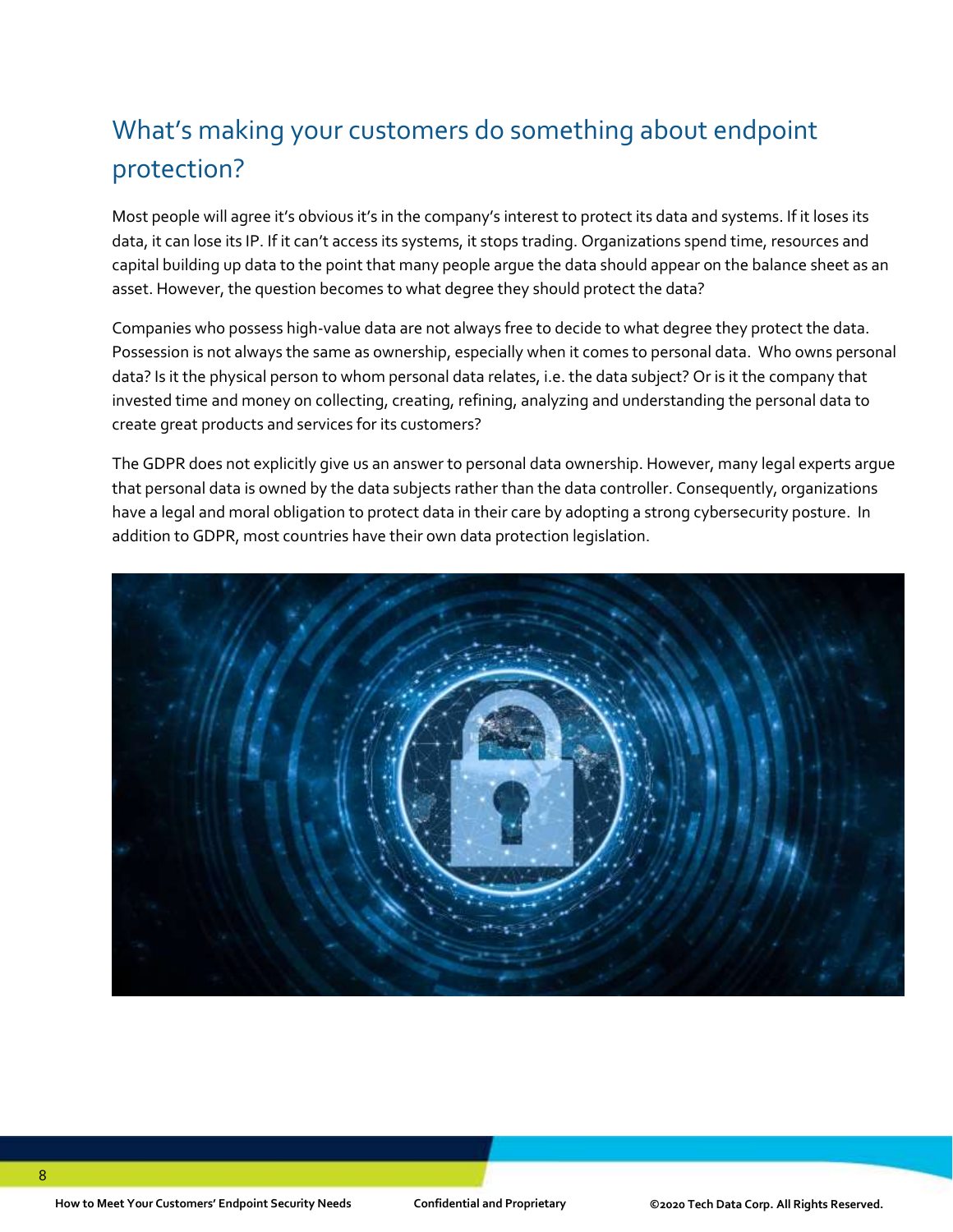# What's making your customers do something about endpoint protection?

Most people will agree it's obvious it's in the company's interest to protect its data and systems. If it loses its data, it can lose its IP. If it can't access its systems, it stops trading. Organizations spend time, resources and capital building up data to the point that many people argue the data should appear on the balance sheet as an asset. However, the question becomes to what degree they should protect the data?

Companies who possess high-value data are not always free to decide to what degree they protect the data. Possession is not always the same as ownership, especially when it comes to personal data. Who owns personal data? Is it the physical person to whom personal data relates, i.e. the data subject? Or is it the company that invested time and money on collecting, creating, refining, analyzing and understanding the personal data to create great products and services for its customers?

The GDPR does not explicitly give us an answer to personal data ownership. However, many legal experts argue that personal data is owned by the data subjects rather than the data controller. Consequently, organizations have a legal and moral obligation to protect data in their care by adopting a strong cybersecurity posture. In addition to GDPR, most countries have their own data protection legislation.

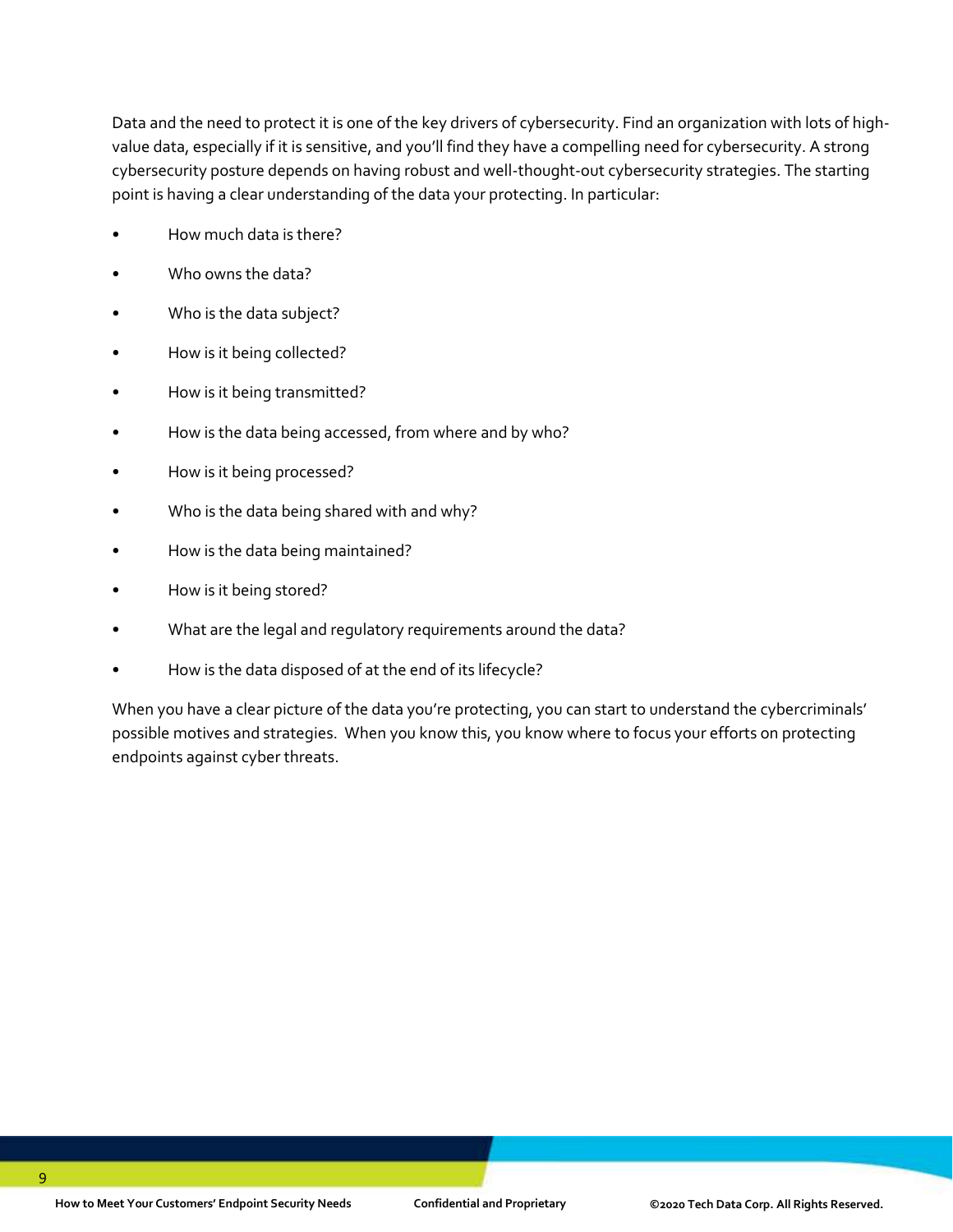Data and the need to protect it is one of the key drivers of cybersecurity. Find an organization with lots of highvalue data, especially if it is sensitive, and you'll find they have a compelling need for cybersecurity. A strong cybersecurity posture depends on having robust and well-thought-out cybersecurity strategies. The starting point is having a clear understanding of the data your protecting. In particular:

- How much data is there?
- Who owns the data?
- Who is the data subject?
- How is it being collected?
- How is it being transmitted?
- How is the data being accessed, from where and by who?
- How is it being processed?
- Who is the data being shared with and why?
- How is the data being maintained?
- How is it being stored?
- What are the legal and regulatory requirements around the data?
- How is the data disposed of at the end of its lifecycle?

When you have a clear picture of the data you're protecting, you can start to understand the cybercriminals' possible motives and strategies. When you know this, you know where to focus your efforts on protecting endpoints against cyber threats.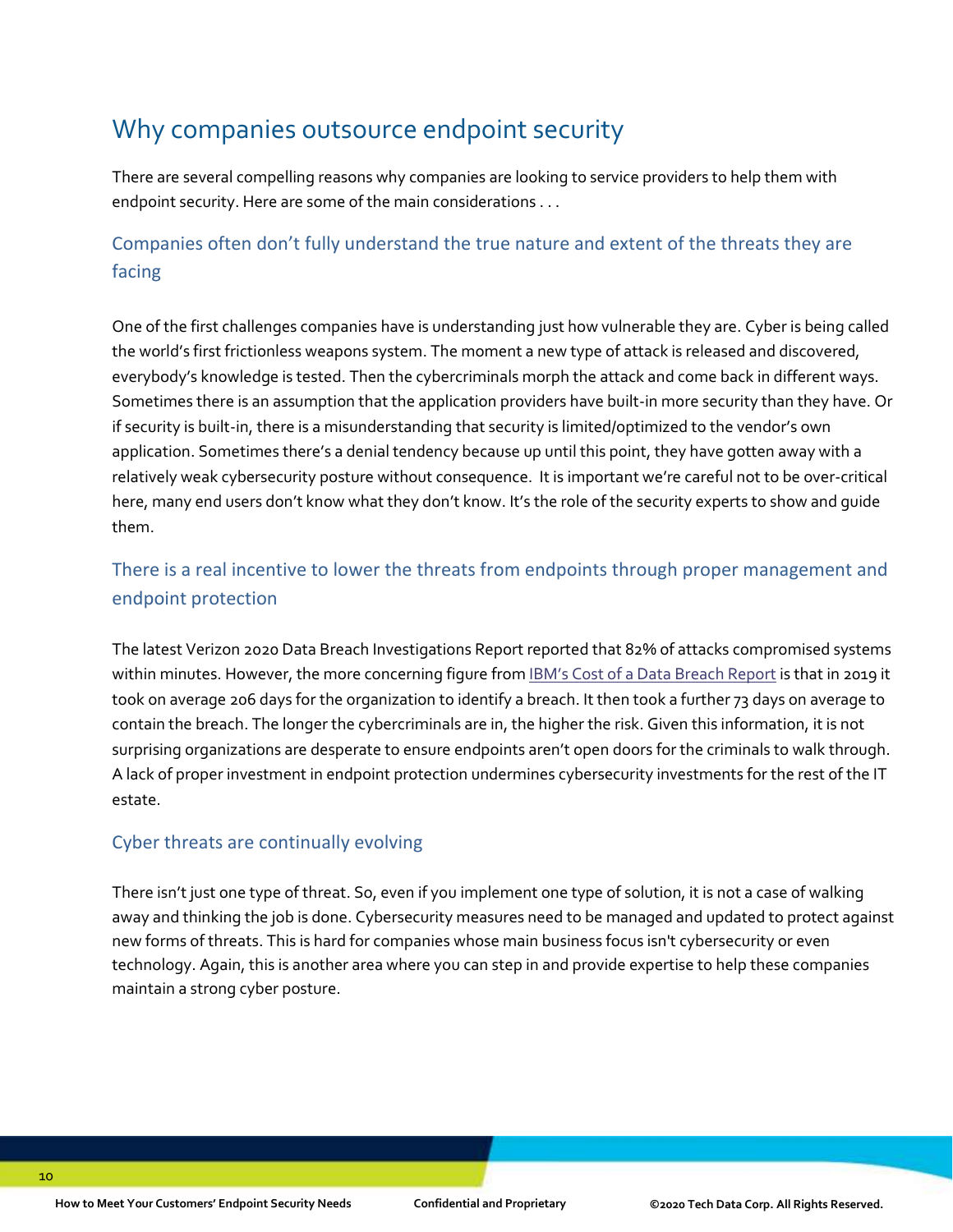### Why companies outsource endpoint security

There are several compelling reasons why companies are looking to service providers to help them with endpoint security. Here are some of the main considerations . . .

### Companies often don't fully understand the true nature and extent of the threats they are facing

One of the first challenges companies have is understanding just how vulnerable they are. Cyber is being called the world's first frictionless weapons system. The moment a new type of attack is released and discovered, everybody's knowledge is tested. Then the cybercriminals morph the attack and come back in different ways. Sometimes there is an assumption that the application providers have built-in more security than they have. Or if security is built-in, there is a misunderstanding that security is limited/optimized to the vendor's own application. Sometimes there's a denial tendency because up until this point, they have gotten away with a relatively weak cybersecurity posture without consequence. It is important we're careful not to be over-critical here, many end users don't know what they don't know. It's the role of the security experts to show and guide them.

### There is a real incentive to lower the threats from endpoints through proper management and endpoint protection

The latest Verizon 2020 Data Breach Investigations Report reported that 82% of attacks compromised systems within minutes. However, the more concerning figure from **[IBM's Cost of a Data Breach](https://www.all-about-security.de/fileadmin/micropages/Fachartikel_28/2019_Cost_of_a_Data_Breach_Report_final.pdf) Report** is that in 2019 it took on average 206 days for the organization to identify a breach. It then took a further 73 days on average to contain the breach. The longer the cybercriminals are in, the higher the risk. Given this information, it is not surprising organizations are desperate to ensure endpoints aren't open doors for the criminals to walk through. A lack of proper investment in endpoint protection undermines cybersecurity investments for the rest of the IT estate.

#### Cyber threats are continually evolving

There isn't just one type of threat. So, even if you implement one type of solution, it is not a case of walking away and thinking the job is done. Cybersecurity measures need to be managed and updated to protect against new forms of threats. This is hard for companies whose main business focus isn't cybersecurity or even technology. Again, this is another area where you can step in and provide expertise to help these companies maintain a strong cyber posture.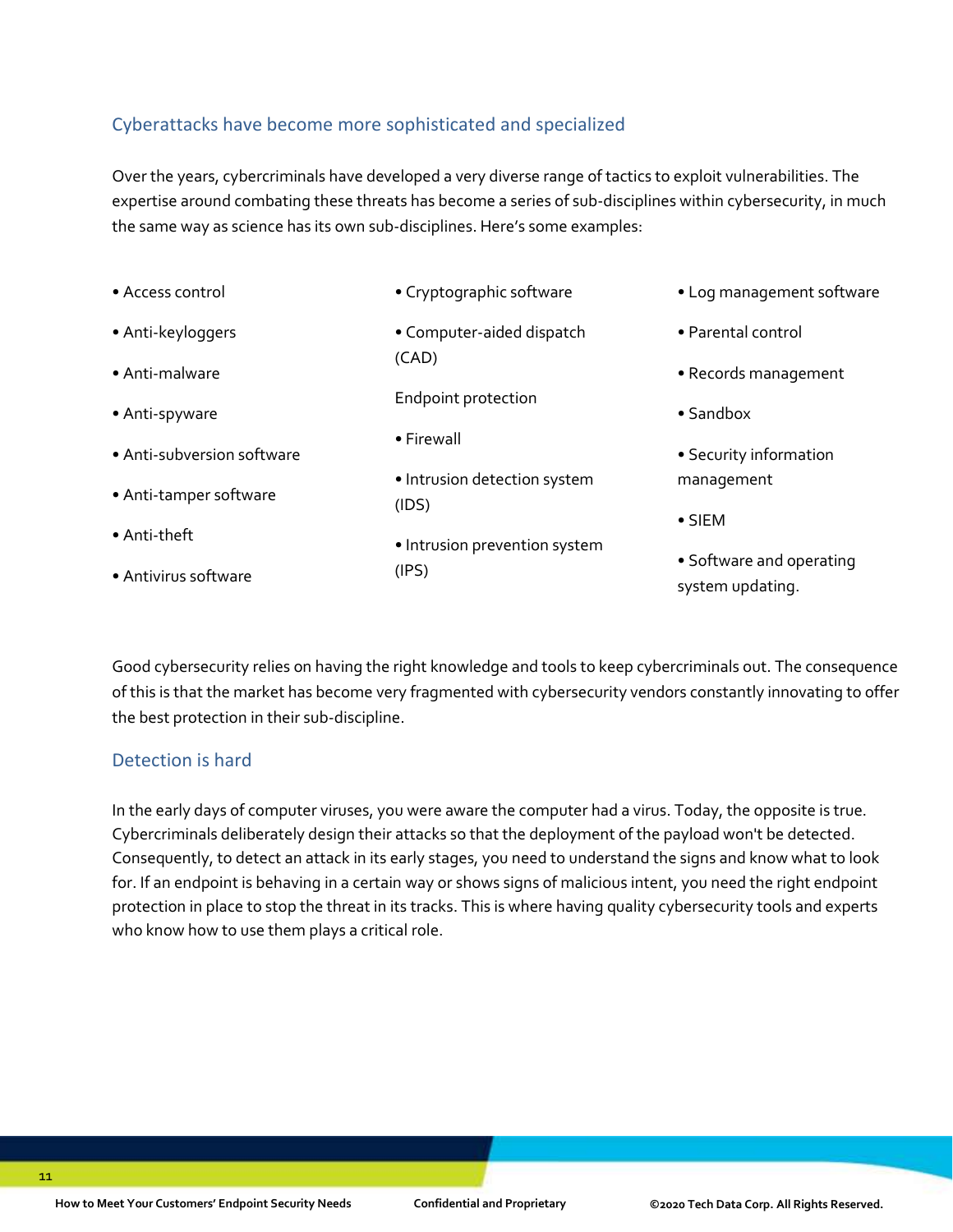#### Cyberattacks have become more sophisticated and specialized

Over the years, cybercriminals have developed a very diverse range of tactics to exploit vulnerabilities. The expertise around combating these threats has become a series of sub-disciplines within cybersecurity, in much the same way as science has its own sub-disciplines. Here's some examples:

• Access control • Anti-keyloggers • Anti-malware • Anti-spyware • Anti-subversion software • Anti-tamper software • Anti-theft • Antivirus software • Cryptographic software • Computer-aided dispatch (CAD) Endpoint protection • Firewall • Intrusion detection system (IDS) • Intrusion prevention system (IPS) • Log management software • Parental control • Records management • Sandbox • Security information management • SIEM • Software and operating system updating.

Good cybersecurity relies on having the right knowledge and tools to keep cybercriminals out. The consequence of this is that the market has become very fragmented with cybersecurity vendors constantly innovating to offer the best protection in their sub-discipline.

#### Detection is hard

In the early days of computer viruses, you were aware the computer had a virus. Today, the opposite is true. Cybercriminals deliberately design their attacks so that the deployment of the payload won't be detected. Consequently, to detect an attack in its early stages, you need to understand the signs and know what to look for. If an endpoint is behaving in a certain way or shows signs of malicious intent, you need the right endpoint protection in place to stop the threat in its tracks. This is where having quality cybersecurity tools and experts who know how to use them plays a critical role.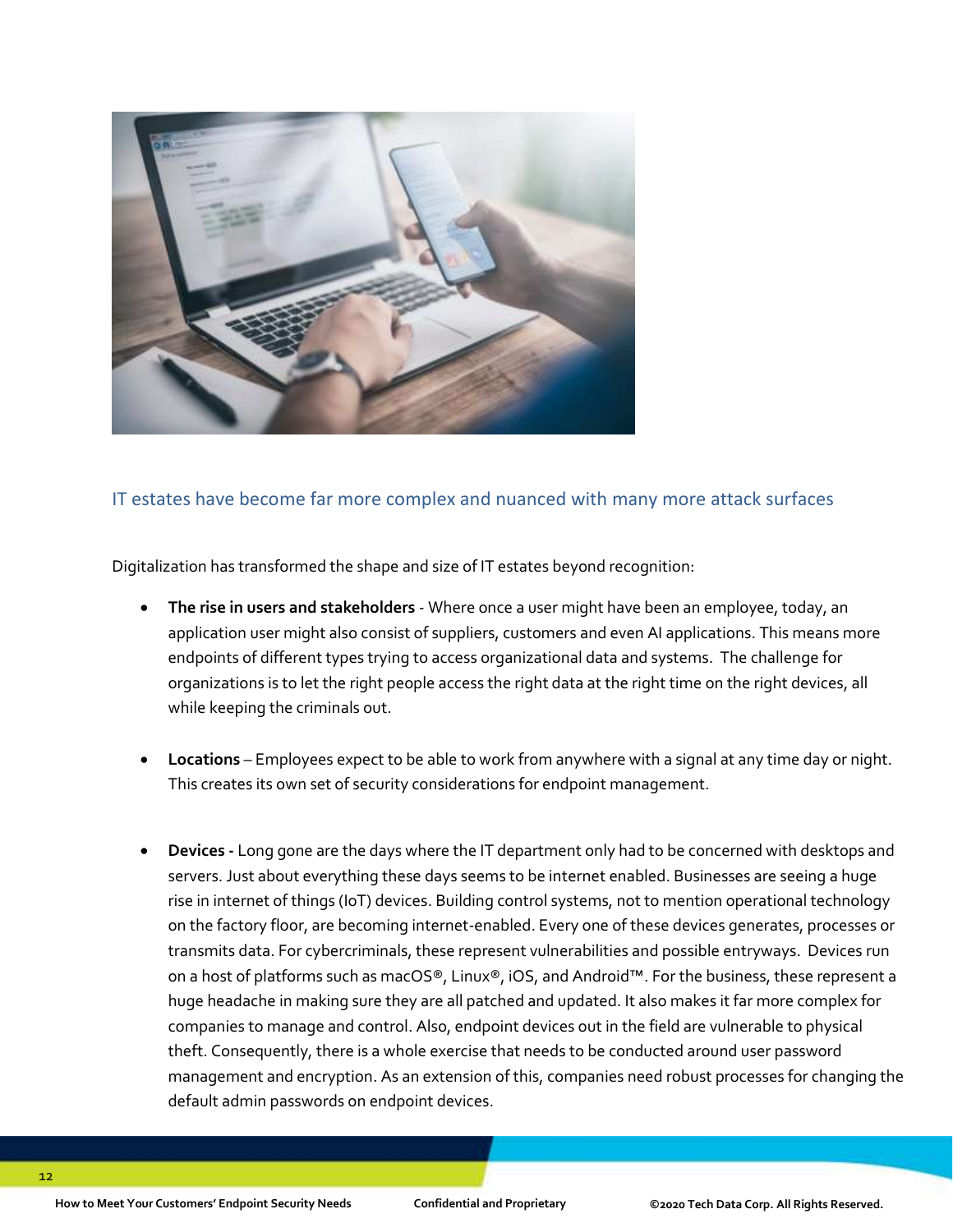

#### IT estates have become far more complex and nuanced with many more attack surfaces

Digitalization has transformed the shape and size of IT estates beyond recognition:

- **The rise in users and stakeholders**  Where once a user might have been an employee, today, an application user might also consist of suppliers, customers and even AI applications. This means more endpoints of different types trying to access organizational data and systems. The challenge for organizations is to let the right people access the right data at the right time on the right devices, all while keeping the criminals out.
- **Locations**  Employees expect to be able to work from anywhere with a signal at any time day or night. This creates its own set of security considerations for endpoint management.
- **Devices -** Long gone are the days where the IT department only had to be concerned with desktops and servers. Just about everything these days seems to be internet enabled. Businesses are seeing a huge rise in internet of things (IoT) devices. Building control systems, not to mention operational technology on the factory floor, are becoming internet-enabled. Every one of these devices generates, processes or transmits data. For cybercriminals, these represent vulnerabilities and possible entryways. Devices run on a host of platforms such as macOS®, Linux®, iOS, and Android™. For the business, these represent a huge headache in making sure they are all patched and updated. It also makes it far more complex for companies to manage and control. Also, endpoint devices out in the field are vulnerable to physical theft. Consequently, there is a whole exercise that needs to be conducted around user password management and encryption. As an extension of this, companies need robust processes for changing the default admin passwords on endpoint devices.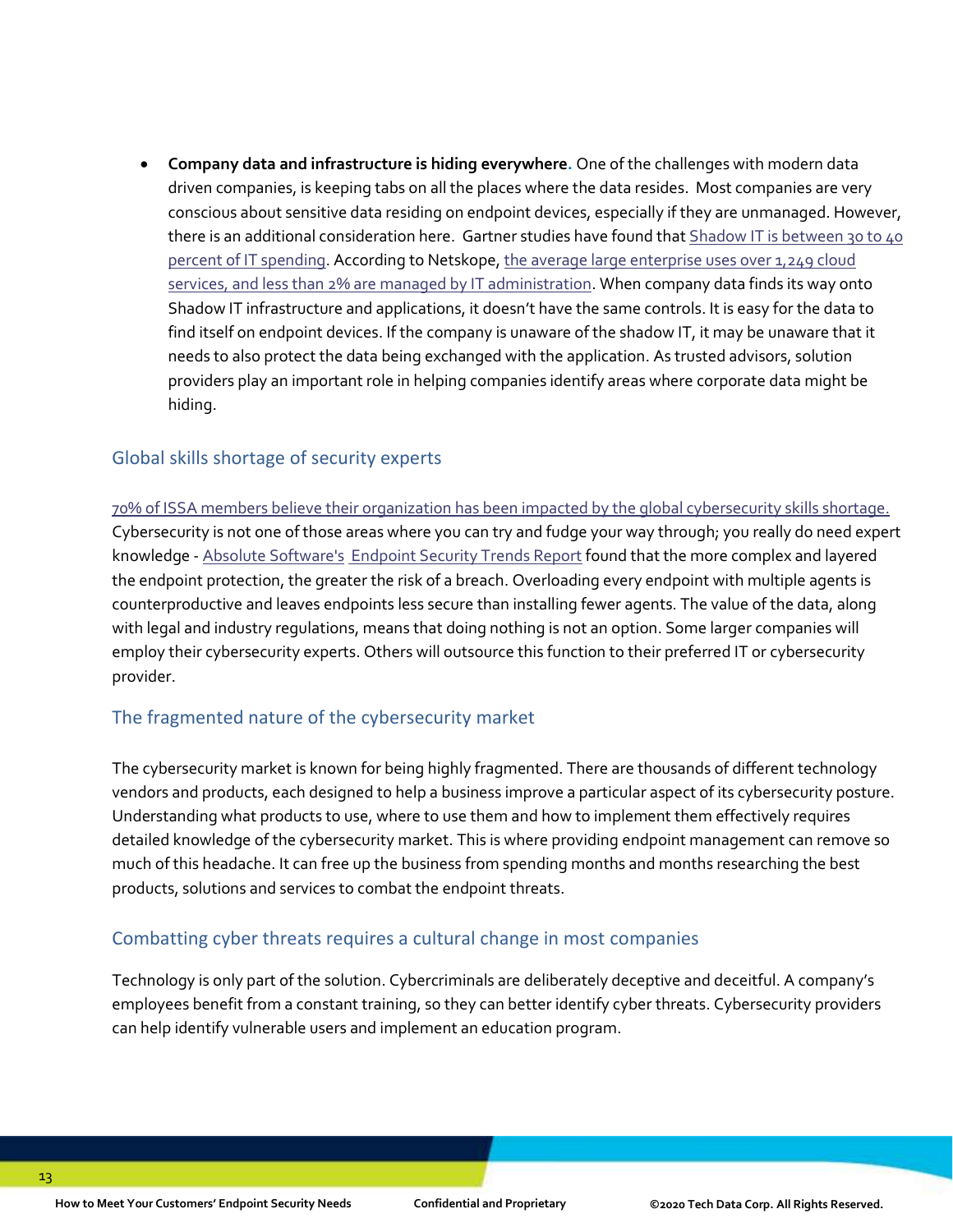• **Company data and infrastructure is hiding everywhere.** One of the challenges with modern data driven companies, is keeping tabs on all the places where the data resides. Most companies are very conscious about sensitive data residing on endpoint devices, especially if they are unmanaged. However, there is an additional consideration here. Gartner studies have found that Shadow IT is between 30 to 40 [percent of IT spending.](https://www.cio.com/article/3188726/how-to-eliminate-enterprise-shadow-it.html) According to Netskope, [the average large enterprise uses over 1,249](https://www.netskope.com/solutions/unmanaged-cloud) cloud services, [and less than 2% are managed by IT administration.](https://www.netskope.com/solutions/unmanaged-cloud) When company data finds its way onto Shadow IT infrastructure and applications, it doesn't have the same controls. It is easy for the data to find itself on endpoint devices. If the company is unaware of the shadow IT, it may be unaware that it needs to also protect the data being exchanged with the application. As trusted advisors, solution providers play an important role in helping companies identify areas where corporate data might be hiding.

#### Global skills shortage of security experts

[70% of ISSA members believe their organization has been impacted by the global cybersecurity skills shortage.](https://2ll3s9303aos3ya6kr1rrsd7-wpengine.netdna-ssl.com/wp-content/uploads/2020/07/ESG-ISSA-Research-Report-Cybersecurity-Professionals-Jul-2020.pdf) Cybersecurity is not one of those areas where you can try and fudge your way through; you really do need expert knowledge - [Absolute Software's](https://www.absolute.com/) [Endpoint Security Trends Report](https://www.absolute.com/go/study/2019-endpoint-security-trends/) found that the more complex and layered the endpoint protection, the greater the risk of a breach. Overloading every endpoint with multiple agents is counterproductive and leaves endpoints less secure than installing fewer agents. The value of the data, along with legal and industry regulations, means that doing nothing is not an option. Some larger companies will employ their cybersecurity experts. Others will outsource this function to their preferred IT or cybersecurity provider.

#### The fragmented nature of the cybersecurity market

The cybersecurity market is known for being highly fragmented. There are thousands of different technology vendors and products, each designed to help a business improve a particular aspect of its cybersecurity posture. Understanding what products to use, where to use them and how to implement them effectively requires detailed knowledge of the cybersecurity market. This is where providing endpoint management can remove so much of this headache. It can free up the business from spending months and months researching the best products, solutions and services to combat the endpoint threats.

#### Combatting cyber threats requires a cultural change in most companies

Technology is only part of the solution. Cybercriminals are deliberately deceptive and deceitful. A company's employees benefit from a constant training, so they can better identify cyber threats. Cybersecurity providers can help identify vulnerable users and implement an education program.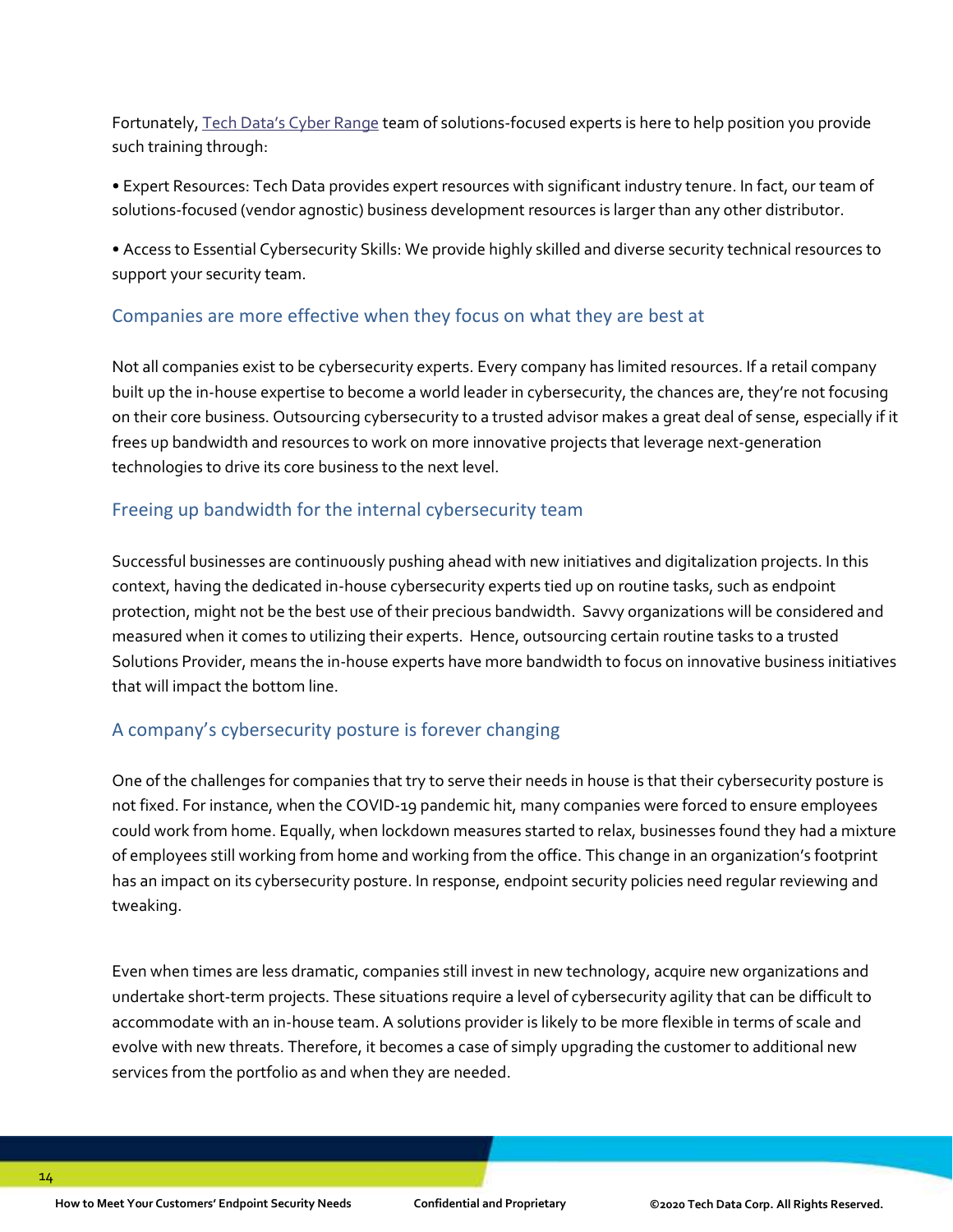Fortunately, [Tech Data's Cyber Range](https://cyberrange.techdata.com/) team of solutions-focused experts is here to help position you provide such training through:

• Expert Resources: Tech Data provides expert resources with significant industry tenure. In fact, our team of solutions-focused (vendor agnostic) business development resources is larger than any other distributor.

• Access to Essential Cybersecurity Skills: We provide highly skilled and diverse security technical resources to support your security team.

#### Companies are more effective when they focus on what they are best at

Not all companies exist to be cybersecurity experts. Every company has limited resources. If a retail company built up the in-house expertise to become a world leader in cybersecurity, the chances are, they're not focusing on their core business. Outsourcing cybersecurity to a trusted advisor makes a great deal of sense, especially if it frees up bandwidth and resources to work on more innovative projects that leverage next-generation technologies to drive its core business to the next level.

#### Freeing up bandwidth for the internal cybersecurity team

Successful businesses are continuously pushing ahead with new initiatives and digitalization projects. In this context, having the dedicated in-house cybersecurity experts tied up on routine tasks, such as endpoint protection, might not be the best use of their precious bandwidth. Savvy organizations will be considered and measured when it comes to utilizing their experts. Hence, outsourcing certain routine tasks to a trusted Solutions Provider, means the in-house experts have more bandwidth to focus on innovative business initiatives that will impact the bottom line.

#### A company's cybersecurity posture is forever changing

One of the challenges for companies that try to serve their needs in house is that their cybersecurity posture is not fixed. For instance, when the COVID-19 pandemic hit, many companies were forced to ensure employees could work from home. Equally, when lockdown measures started to relax, businesses found they had a mixture of employees still working from home and working from the office. This change in an organization's footprint has an impact on its cybersecurity posture. In response, endpoint security policies need regular reviewing and tweaking.

Even when times are less dramatic, companies still invest in new technology, acquire new organizations and undertake short-term projects. These situations require a level of cybersecurity agility that can be difficult to accommodate with an in-house team. A solutions provider is likely to be more flexible in terms of scale and evolve with new threats. Therefore, it becomes a case of simply upgrading the customer to additional new services from the portfolio as and when they are needed.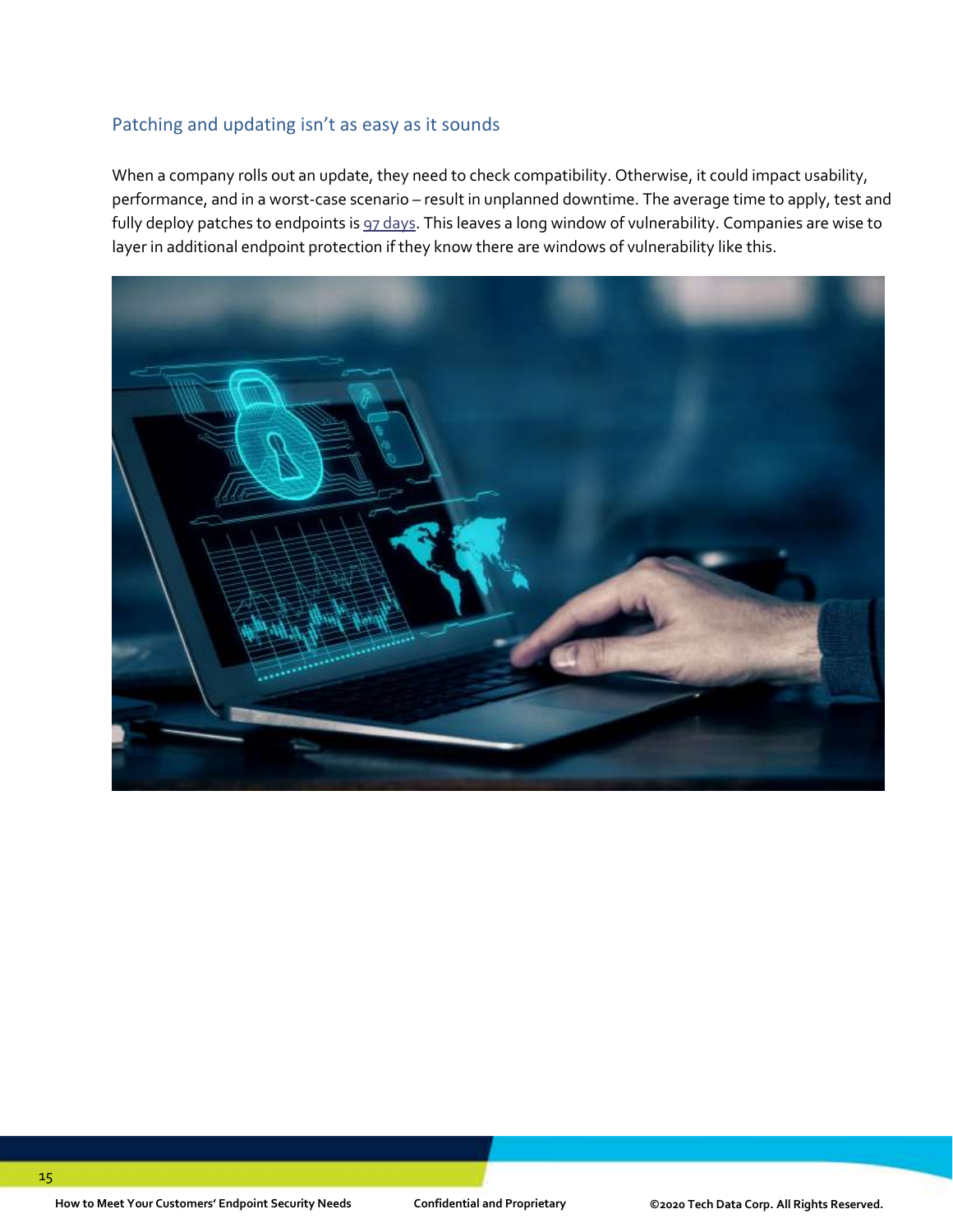#### Patching and updating isn't as easy as it sounds

When a company rolls out an update, they need to check compatibility. Otherwise, it could impact usability, performance, and in a worst-case scenario – result in unplanned downtime. The average time to apply, test and fully deploy patches to endpoints i[s 97 days.](https://www.morphisec.com/hubfs/2020%20State%20of%20Endpoint%20Security%20Final.pdf) This leaves a long window of vulnerability. Companies are wise to layer in additional endpoint protection if they know there are windows of vulnerability like this.

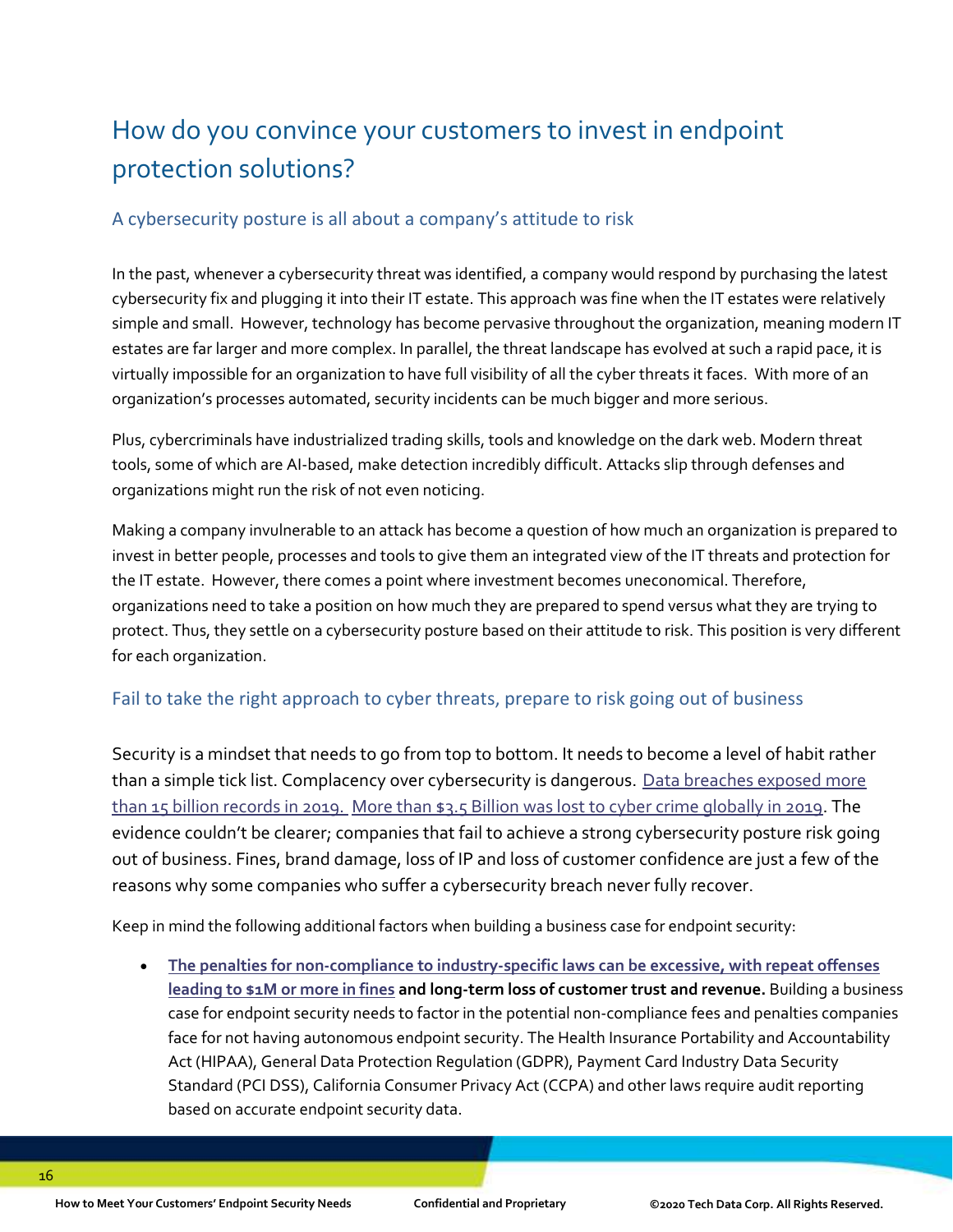# How do you convince your customers to invest in endpoint protection solutions?

#### A cybersecurity posture is all about a company's attitude to risk

In the past, whenever a cybersecurity threat was identified, a company would respond by purchasing the latest cybersecurity fix and plugging it into their IT estate. This approach was fine when the IT estates were relatively simple and small. However, technology has become pervasive throughout the organization, meaning modern IT estates are far larger and more complex. In parallel, the threat landscape has evolved at such a rapid pace, it is virtually impossible for an organization to have full visibility of all the cyber threats it faces. With more of an organization's processes automated, security incidents can be much bigger and more serious.

Plus, cybercriminals have industrialized trading skills, tools and knowledge on the dark web. Modern threat tools, some of which are AI-based, make detection incredibly difficult. Attacks slip through defenses and organizations might run the risk of not even noticing.

Making a company invulnerable to an attack has become a question of how much an organization is prepared to invest in better people, processes and tools to give them an integrated view of the IT threats and protection for the IT estate. However, there comes a point where investment becomes uneconomical. Therefore, organizations need to take a position on how much they are prepared to spend versus what they are trying to protect. Thus, they settle on a cybersecurity posture based on their attitude to risk. This position is very different for each organization.

#### Fail to take the right approach to cyber threats, prepare to risk going out of business

Security is a mindset that needs to go from top to bottom. It needs to become a level of habit rather than a simple tick list. Complacency over cybersecurity is dangerous. Data breaches exposed more [than 15 billion records in 2019.](https://pages.riskbasedsecurity.com/2019-year-end-data-breach-quickview-report) [More than \\$3.5 Billion was lost to cyber crime globally in 2019.](https://securityboulevard.com/2020/05/the-definitive-cyber-security-statistics-guide-for-2020/) The evidence couldn't be clearer; companies that fail to achieve a strong cybersecurity posture risk going out of business. Fines, brand damage, loss of IP and loss of customer confidence are just a few of the reasons why some companies who suffer a cybersecurity breach never fully recover.

Keep in mind the following additional factors when building a business case for endpoint security:

• **[The penalties for non-compliance to industry-specific laws can be excessive, with repeat](https://www.forbes.com/sites/louiscolumbus/2020/05/10/how-to-build-a-business-case-for-endpoint-security/#140be3846e3e) offenses [leading to \\$1M or more in fines](https://www.forbes.com/sites/louiscolumbus/2020/05/10/how-to-build-a-business-case-for-endpoint-security/#140be3846e3e) and long-term loss of customer trust and revenue.** Building a business case for endpoint security needs to factor in the potential non-compliance fees and penalties companies face for not having autonomous endpoint security. The Health Insurance Portability and Accountability Act (HIPAA), General Data Protection Regulation (GDPR), Payment Card Industry Data Security Standard (PCI DSS), California Consumer Privacy Act (CCPA) and other laws require audit reporting based on accurate endpoint security data.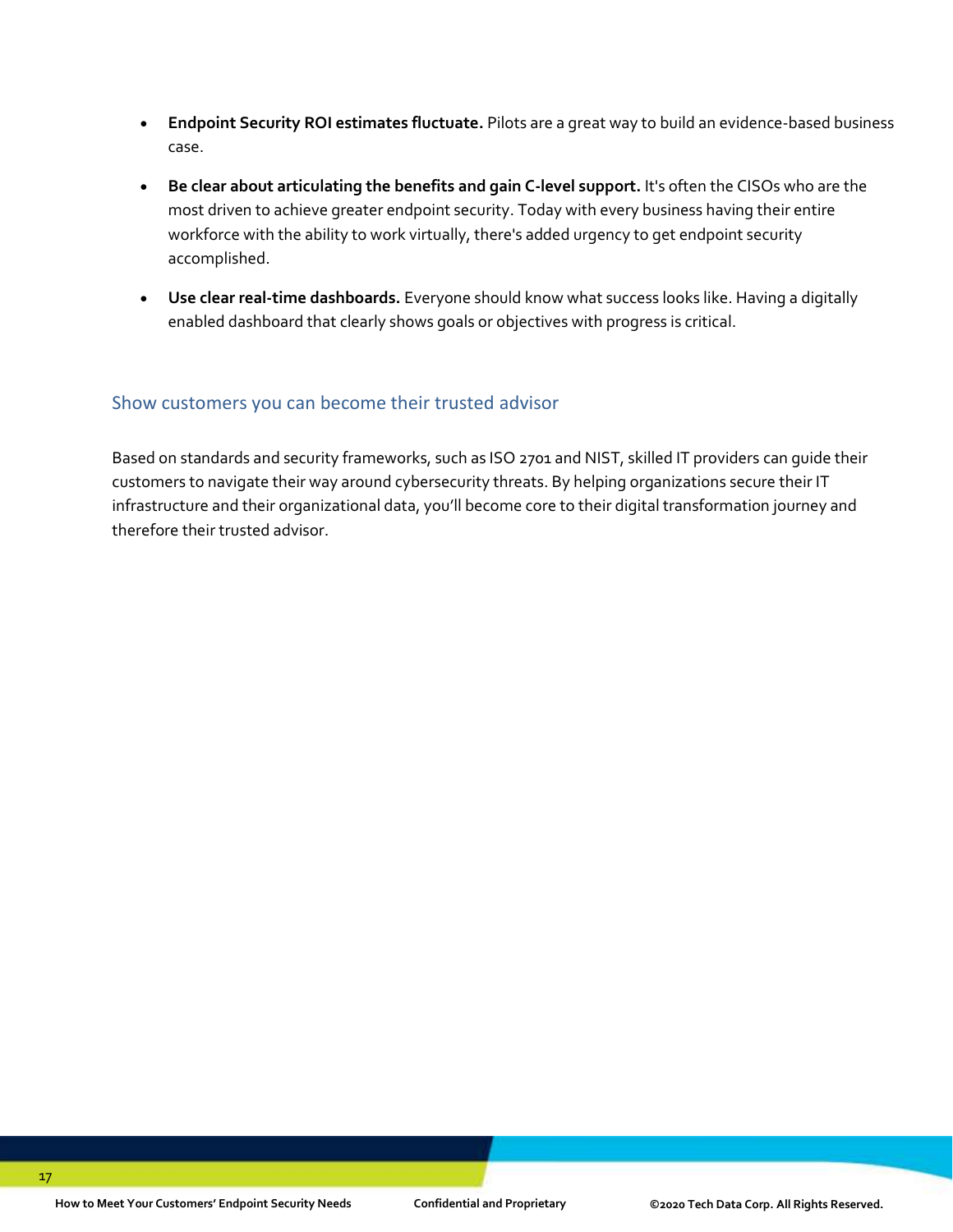- **Endpoint Security ROI estimates fluctuate.** Pilots are a great way to build an evidence-based business case.
- **Be clear about articulating the benefits and gain C-level support.** It's often the CISOs who are the most driven to achieve greater endpoint security. Today with every business having their entire workforce with the ability to work virtually, there's added urgency to get endpoint security accomplished.
- **Use clear real-time dashboards.** Everyone should know what success looks like. Having a digitally enabled dashboard that clearly shows goals or objectives with progress is critical.

#### Show customers you can become their trusted advisor

Based on standards and security frameworks, such as ISO 2701 and NIST, skilled IT providers can guide their customers to navigate their way around cybersecurity threats. By helping organizations secure their IT infrastructure and their organizational data, you'll become core to their digital transformation journey and therefore their trusted advisor.